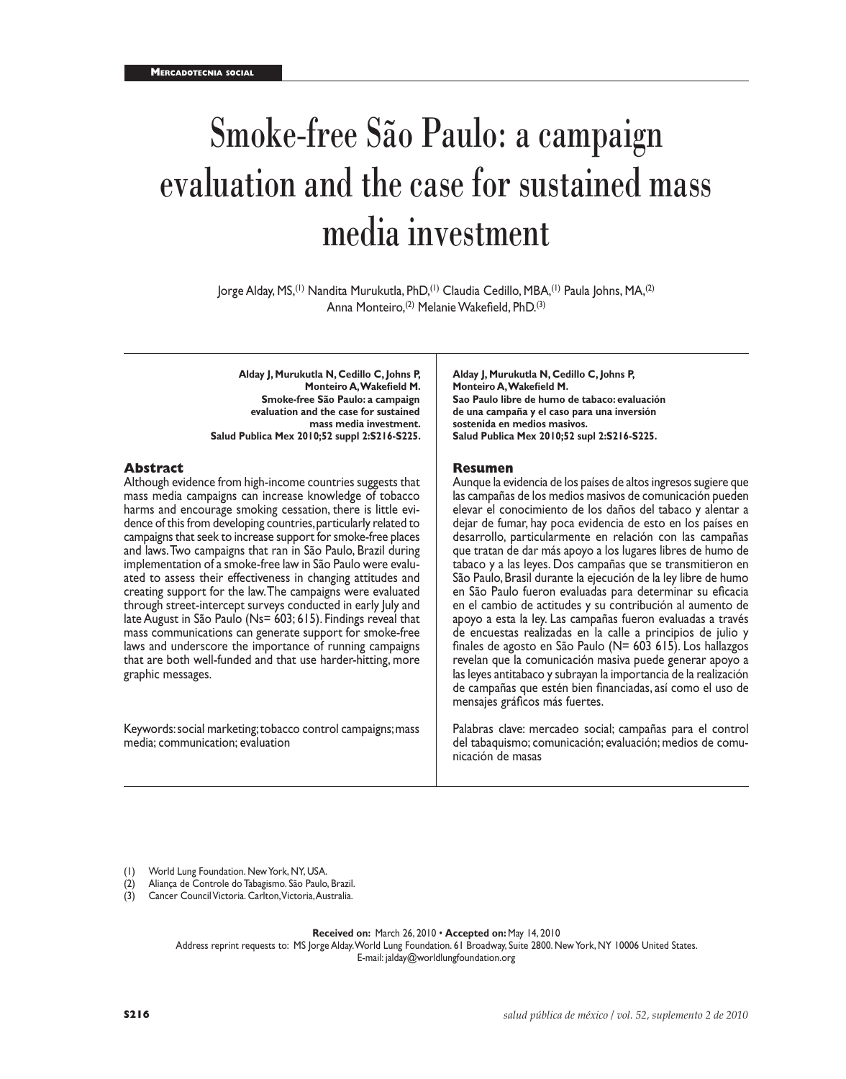# Smoke-free São Paulo: a campaign evaluation and the case for sustained mass media investment

Jorge Alday, MS,(1) Nandita Murukutla, PhD,(1) Claudia Cedillo, MBA,(1) Paula Johns, MA,(2) Anna Monteiro,(2) Melanie Wakefield, PhD.(3)

**Alday J, Murukutla N, Cedillo C, Johns P, Monteiro A, Wakefield M. Smoke-free São Paulo: a campaign evaluation and the case for sustained mass media investment. Salud Publica Mex 2010;52 suppl 2:S216-S225.**

#### **Abstract**

Although evidence from high-income countries suggests that mass media campaigns can increase knowledge of tobacco harms and encourage smoking cessation, there is little evidence of this from developing countries, particularly related to campaigns that seek to increase support for smoke-free places and laws. Two campaigns that ran in São Paulo, Brazil during implementation of a smoke-free law in São Paulo were evaluated to assess their effectiveness in changing attitudes and creating support for the law. The campaigns were evaluated through street-intercept surveys conducted in early July and late August in São Paulo (Ns= 603; 615). Findings reveal that mass communications can generate support for smoke-free laws and underscore the importance of running campaigns that are both well-funded and that use harder-hitting, more graphic messages.

Keywords: social marketing; tobacco control campaigns; mass media; communication; evaluation

**Alday J, Murukutla N, Cedillo C, Johns P, Monteiro A, Wakefield M. Sao Paulo libre de humo de tabaco: evaluación de una campaña y el caso para una inversión sostenida en medios masivos. Salud Publica Mex 2010;52 supl 2:S216-S225.**

#### **Resumen**

Aunque la evidencia de los países de altos ingresos sugiere que las campañas de los medios masivos de comunicación pueden elevar el conocimiento de los daños del tabaco y alentar a dejar de fumar, hay poca evidencia de esto en los países en desarrollo, particularmente en relación con las campañas que tratan de dar más apoyo a los lugares libres de humo de tabaco y a las leyes. Dos campañas que se transmitieron en São Paulo, Brasil durante la ejecución de la ley libre de humo en São Paulo fueron evaluadas para determinar su eficacia en el cambio de actitudes y su contribución al aumento de apoyo a esta la ley. Las campañas fueron evaluadas a través de encuestas realizadas en la calle a principios de julio y finales de agosto en São Paulo (N= 603 615). Los hallazgos revelan que la comunicación masiva puede generar apoyo a las leyes antitabaco y subrayan la importancia de la realización de campañas que estén bien financiadas, así como el uso de mensajes gráficos más fuertes.

Palabras clave: mercadeo social; campañas para el control del tabaquismo; comunicación; evaluación; medios de comunicación de masas

(1) World Lung Foundation. New York, NY, USA.

- (2) Aliança de Controle do Tabagismo. São Paulo, Brazil.
- (3) Cancer Council Victoria. Carlton, Victoria, Australia.

**Received on:** March 26, 2010 • **Accepted on:** May 14, 2010 Address reprint requests to: MS Jorge Alday. World Lung Foundation. 61 Broadway, Suite 2800. New York, NY 10006 United States. E-mail: jalday@worldlungfoundation.org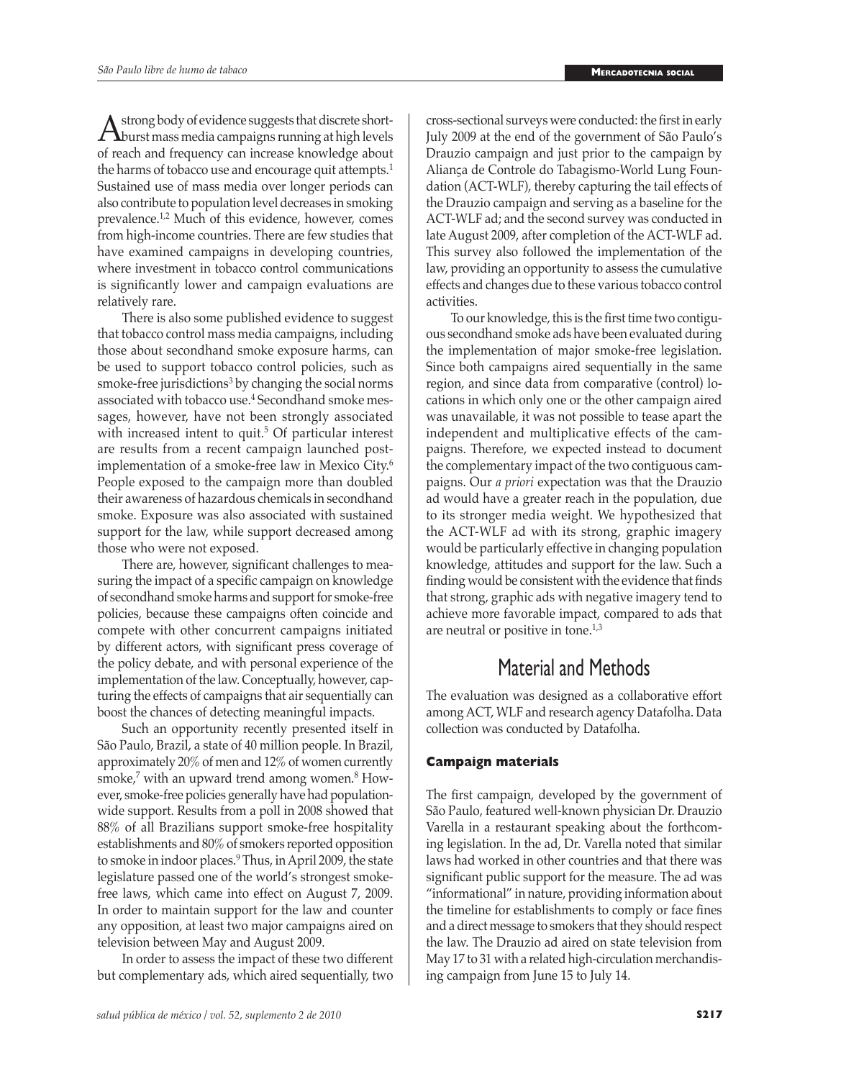A strong body of evidence suggests that discrete short-<br>burst mass media campaigns running at high levels<br>of reach and frequency can increase knowledge shout of reach and frequency can increase knowledge about the harms of tobacco use and encourage quit attempts.<sup>1</sup> Sustained use of mass media over longer periods can also contribute to population level decreases in smoking prevalence.1,2 Much of this evidence, however, comes from high-income countries. There are few studies that have examined campaigns in developing countries, where investment in tobacco control communications is significantly lower and campaign evaluations are relatively rare.

There is also some published evidence to suggest that tobacco control mass media campaigns, including those about secondhand smoke exposure harms, can be used to support tobacco control policies, such as smoke-free jurisdictions<sup>3</sup> by changing the social norms associated with tobacco use.<sup>4</sup> Secondhand smoke messages, however, have not been strongly associated with increased intent to quit.<sup>5</sup> Of particular interest are results from a recent campaign launched postimplementation of a smoke-free law in Mexico City.<sup>6</sup> People exposed to the campaign more than doubled their awareness of hazardous chemicals in secondhand smoke. Exposure was also associated with sustained support for the law, while support decreased among those who were not exposed.

There are, however, significant challenges to measuring the impact of a specific campaign on knowledge of secondhand smoke harms and support for smoke-free policies, because these campaigns often coincide and compete with other concurrent campaigns initiated by different actors, with significant press coverage of the policy debate, and with personal experience of the implementation of the law. Conceptually, however, capturing the effects of campaigns that air sequentially can boost the chances of detecting meaningful impacts.

Such an opportunity recently presented itself in São Paulo, Brazil, a state of 40 million people. In Brazil, approximately 20% of men and 12% of women currently smoke,7 with an upward trend among women.8 However, smoke-free policies generally have had populationwide support. Results from a poll in 2008 showed that 88% of all Brazilians support smoke-free hospitality establishments and 80% of smokers reported opposition to smoke in indoor places.<sup>9</sup> Thus, in April 2009, the state legislature passed one of the world's strongest smokefree laws, which came into effect on August 7, 2009. In order to maintain support for the law and counter any opposition, at least two major campaigns aired on television between May and August 2009.

In order to assess the impact of these two different but complementary ads, which aired sequentially, two cross-sectional surveys were conducted: the first in early July 2009 at the end of the government of São Paulo's Drauzio campaign and just prior to the campaign by Aliança de Controle do Tabagismo-World Lung Foundation (ACT-WLF), thereby capturing the tail effects of the Drauzio campaign and serving as a baseline for the ACT-WLF ad; and the second survey was conducted in late August 2009, after completion of the ACT-WLF ad. This survey also followed the implementation of the law, providing an opportunity to assess the cumulative effects and changes due to these various tobacco control activities.

To our knowledge, this is the first time two contiguous secondhand smoke ads have been evaluated during the implementation of major smoke-free legislation. Since both campaigns aired sequentially in the same region, and since data from comparative (control) locations in which only one or the other campaign aired was unavailable, it was not possible to tease apart the independent and multiplicative effects of the campaigns. Therefore, we expected instead to document the complementary impact of the two contiguous campaigns. Our *a priori* expectation was that the Drauzio ad would have a greater reach in the population, due to its stronger media weight. We hypothesized that the ACT-WLF ad with its strong, graphic imagery would be particularly effective in changing population knowledge, attitudes and support for the law. Such a finding would be consistent with the evidence that finds that strong, graphic ads with negative imagery tend to achieve more favorable impact, compared to ads that are neutral or positive in tone.<sup>1,3</sup>

## Material and Methods

The evaluation was designed as a collaborative effort among ACT, WLF and research agency Datafolha. Data collection was conducted by Datafolha.

#### **Campaign materials**

The first campaign, developed by the government of São Paulo, featured well-known physician Dr. Drauzio Varella in a restaurant speaking about the forthcoming legislation. In the ad, Dr. Varella noted that similar laws had worked in other countries and that there was significant public support for the measure. The ad was "informational" in nature, providing information about the timeline for establishments to comply or face fines and a direct message to smokers that they should respect the law. The Drauzio ad aired on state television from May 17 to 31 with a related high-circulation merchandising campaign from June 15 to July 14.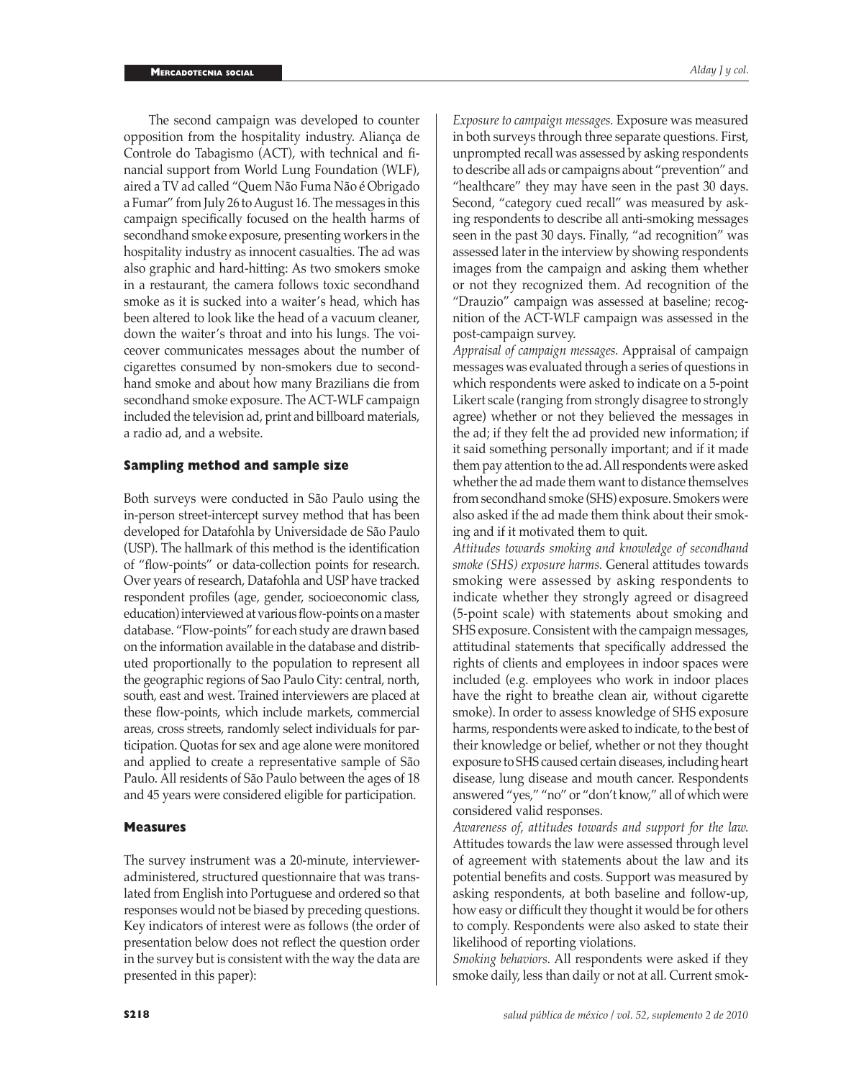The second campaign was developed to counter opposition from the hospitality industry. Aliança de Controle do Tabagismo (ACT), with technical and financial support from World Lung Foundation (WLF), aired a TV ad called "Quem Não Fuma Não é Obrigado a Fumar" from July 26 to August 16. The messages in this campaign specifically focused on the health harms of secondhand smoke exposure, presenting workers in the hospitality industry as innocent casualties. The ad was also graphic and hard-hitting: As two smokers smoke in a restaurant, the camera follows toxic secondhand smoke as it is sucked into a waiter's head, which has been altered to look like the head of a vacuum cleaner, down the waiter's throat and into his lungs. The voiceover communicates messages about the number of cigarettes consumed by non-smokers due to secondhand smoke and about how many Brazilians die from secondhand smoke exposure. The ACT-WLF campaign included the television ad, print and billboard materials, a radio ad, and a website.

#### **Sampling method and sample size**

Both surveys were conducted in São Paulo using the in-person street-intercept survey method that has been developed for Datafohla by Universidade de São Paulo (USP). The hallmark of this method is the identification of "flow-points" or data-collection points for research. Over years of research, Datafohla and USP have tracked respondent profiles (age, gender, socioeconomic class, education) interviewed at various flow-points on a master database. "Flow-points" for each study are drawn based on the information available in the database and distributed proportionally to the population to represent all the geographic regions of Sao Paulo City: central, north, south, east and west. Trained interviewers are placed at these flow-points, which include markets, commercial areas, cross streets, randomly select individuals for participation. Quotas for sex and age alone were monitored and applied to create a representative sample of São Paulo. All residents of São Paulo between the ages of 18 and 45 years were considered eligible for participation.

#### **Measures**

The survey instrument was a 20-minute, intervieweradministered, structured questionnaire that was translated from English into Portuguese and ordered so that responses would not be biased by preceding questions. Key indicators of interest were as follows (the order of presentation below does not reflect the question order in the survey but is consistent with the way the data are presented in this paper):

*Exposure to campaign messages.* Exposure was measured in both surveys through three separate questions. First, unprompted recall was assessed by asking respondents to describe all ads or campaigns about "prevention" and "healthcare" they may have seen in the past 30 days. Second, "category cued recall" was measured by asking respondents to describe all anti-smoking messages seen in the past 30 days. Finally, "ad recognition" was assessed later in the interview by showing respondents images from the campaign and asking them whether or not they recognized them. Ad recognition of the "Drauzio" campaign was assessed at baseline; recognition of the ACT-WLF campaign was assessed in the post-campaign survey.

*Appraisal of campaign messages.* Appraisal of campaign messages was evaluated through a series of questions in which respondents were asked to indicate on a 5-point Likert scale (ranging from strongly disagree to strongly agree) whether or not they believed the messages in the ad; if they felt the ad provided new information; if it said something personally important; and if it made them pay attention to the ad. All respondents were asked whether the ad made them want to distance themselves from secondhand smoke (SHS) exposure. Smokers were also asked if the ad made them think about their smoking and if it motivated them to quit.

*Attitudes towards smoking and knowledge of secondhand smoke (SHS) exposure harms.* General attitudes towards smoking were assessed by asking respondents to indicate whether they strongly agreed or disagreed (5-point scale) with statements about smoking and SHS exposure. Consistent with the campaign messages, attitudinal statements that specifically addressed the rights of clients and employees in indoor spaces were included (e.g. employees who work in indoor places have the right to breathe clean air, without cigarette smoke). In order to assess knowledge of SHS exposure harms, respondents were asked to indicate, to the best of their knowledge or belief, whether or not they thought exposure to SHS caused certain diseases, including heart disease, lung disease and mouth cancer. Respondents answered "yes," "no" or "don't know," all of which were considered valid responses.

*Awareness of, attitudes towards and support for the law.* Attitudes towards the law were assessed through level of agreement with statements about the law and its potential benefits and costs. Support was measured by asking respondents, at both baseline and follow-up, how easy or difficult they thought it would be for others to comply. Respondents were also asked to state their likelihood of reporting violations.

*Smoking behaviors.* All respondents were asked if they smoke daily, less than daily or not at all. Current smok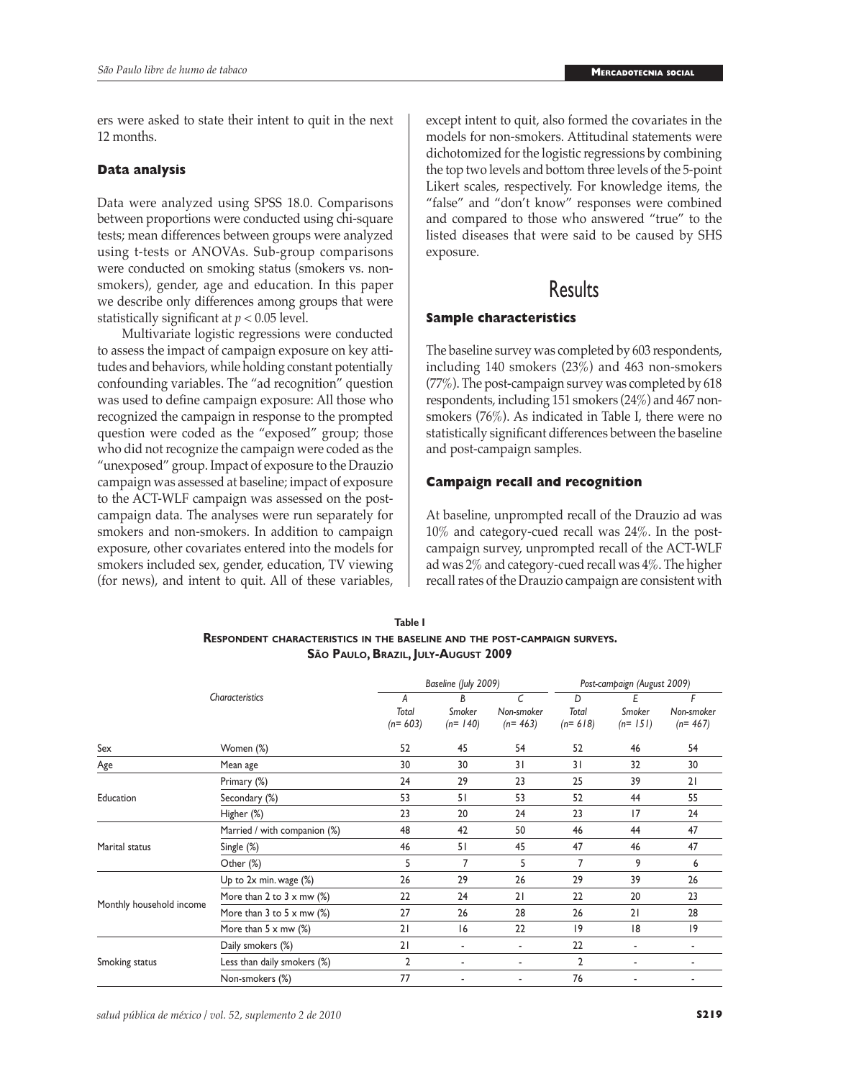ers were asked to state their intent to quit in the next 12 months.

#### **Data analysis**

Data were analyzed using SPSS 18.0. Comparisons between proportions were conducted using chi-square tests; mean differences between groups were analyzed using t-tests or ANOVAs. Sub-group comparisons were conducted on smoking status (smokers vs. nonsmokers), gender, age and education. In this paper we describe only differences among groups that were statistically significant at *p* < 0.05 level.

Multivariate logistic regressions were conducted to assess the impact of campaign exposure on key attitudes and behaviors, while holding constant potentially confounding variables. The "ad recognition" question was used to define campaign exposure: All those who recognized the campaign in response to the prompted question were coded as the "exposed" group; those who did not recognize the campaign were coded as the "unexposed" group. Impact of exposure to the Drauzio campaign was assessed at baseline; impact of exposure to the ACT-WLF campaign was assessed on the postcampaign data. The analyses were run separately for smokers and non-smokers. In addition to campaign exposure, other covariates entered into the models for smokers included sex, gender, education, TV viewing (for news), and intent to quit. All of these variables, except intent to quit, also formed the covariates in the models for non-smokers. Attitudinal statements were dichotomized for the logistic regressions by combining the top two levels and bottom three levels of the 5-point Likert scales, respectively. For knowledge items, the "false" and "don't know" responses were combined and compared to those who answered "true" to the listed diseases that were said to be caused by SHS exposure.

### **Results**

#### **Sample characteristics**

The baseline survey was completed by 603 respondents, including 140 smokers (23%) and 463 non-smokers (77%). The post-campaign survey was completed by 618 respondents, including 151 smokers (24%) and 467 nonsmokers (76%). As indicated in Table I, there were no statistically significant differences between the baseline and post-campaign samples.

#### **Campaign recall and recognition**

At baseline, unprompted recall of the Drauzio ad was 10% and category-cued recall was 24%. In the postcampaign survey, unprompted recall of the ACT-WLF ad was 2% and category-cued recall was 4%. The higher recall rates of the Drauzio campaign are consistent with

| Table I                                                                          |
|----------------------------------------------------------------------------------|
| <b>RESPONDENT CHARACTERISTICS IN THE BASELINE AND THE POST-CAMPAIGN SURVEYS.</b> |
| São Paulo, Brazil, July-August 2009                                              |

|                          |                                                   |                         | Baseline (July 2009)     |                              |                         | Post-campaign (August 2009) |                              |  |
|--------------------------|---------------------------------------------------|-------------------------|--------------------------|------------------------------|-------------------------|-----------------------------|------------------------------|--|
|                          | Characteristics                                   | A<br>Total<br>$(n=603)$ | B<br>Smoker<br>$(n=140)$ | C<br>Non-smoker<br>$(n=463)$ | D<br>Total<br>$(n=618)$ | Ε<br>Smoker<br>$(n=151)$    | F<br>Non-smoker<br>$(n=467)$ |  |
| Sex                      | Women (%)                                         | 52                      | 45                       | 54                           | 52                      | 46                          | 54                           |  |
| Age                      | Mean age                                          | 30                      | 30                       | 31                           | 31                      | 32                          | 30                           |  |
|                          | Primary (%)                                       | 24                      | 29                       | 23                           | 25                      | 39                          | 21                           |  |
| Education                | Secondary (%)                                     | 53                      | 51                       | 53                           | 52                      | 44                          | 55                           |  |
|                          | Higher (%)                                        | 23                      | 20                       | 24                           | 23                      | 17                          | 24                           |  |
|                          | Married / with companion (%)                      | 48                      | 42                       | 50                           | 46                      | 44                          | 47                           |  |
| Marital status           | Single (%)                                        | 46                      | 51                       | 45                           | 47                      | 46                          | 47                           |  |
|                          | Other (%)                                         | 5                       | 7                        | 5                            | 7                       | 9                           | 6                            |  |
|                          | Up to 2x min. wage (%)                            | 26                      | 29                       | 26                           | 29                      | 39                          | 26                           |  |
|                          | More than 2 to $3 \times$ mw $\frac{1}{2}$        | 22                      | 24                       | 21                           | 22                      | 20                          | 23                           |  |
| Monthly household income | More than $3$ to $5 \times$ mw $\left(\% \right)$ | 27                      | 26                       | 28                           | 26                      | 21                          | 28                           |  |
|                          | More than $5 \times$ mw $\frac{1}{2}$             | 21                      | 16                       | 22                           | 9                       | 8                           | 19                           |  |
|                          | Daily smokers (%)                                 | 21                      | $\blacksquare$           | ۰                            | 22                      | $\overline{\phantom{a}}$    | ٠                            |  |
| Smoking status           | Less than daily smokers (%)                       | $\overline{2}$          | ٠                        | ۰                            | $\overline{2}$          | ٠                           | ٠                            |  |
|                          | Non-smokers (%)                                   | 77                      |                          |                              | 76                      |                             |                              |  |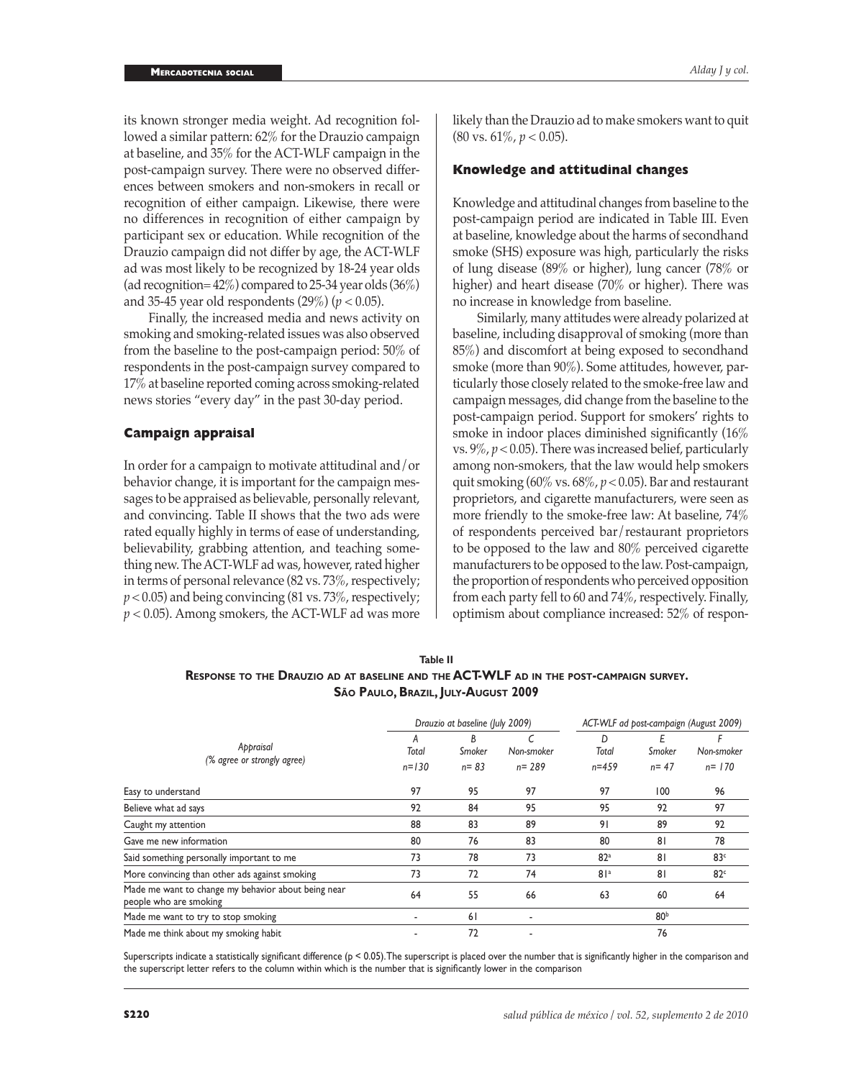its known stronger media weight. Ad recognition followed a similar pattern: 62% for the Drauzio campaign at baseline, and 35% for the ACT-WLF campaign in the post-campaign survey. There were no observed differences between smokers and non-smokers in recall or recognition of either campaign. Likewise, there were no differences in recognition of either campaign by participant sex or education. While recognition of the Drauzio campaign did not differ by age, the ACT-WLF ad was most likely to be recognized by 18-24 year olds (ad recognition=  $42\%$ ) compared to 25-34 year olds (36%) and 35-45 year old respondents (29%) (*p* < 0.05).

Finally, the increased media and news activity on smoking and smoking-related issues was also observed from the baseline to the post-campaign period: 50% of respondents in the post-campaign survey compared to 17% at baseline reported coming across smoking-related news stories "every day" in the past 30-day period.

#### **Campaign appraisal**

In order for a campaign to motivate attitudinal and/or behavior change, it is important for the campaign messages to be appraised as believable, personally relevant, and convincing. Table II shows that the two ads were rated equally highly in terms of ease of understanding, believability, grabbing attention, and teaching something new. The ACT-WLF ad was, however, rated higher in terms of personal relevance (82 vs. 73%, respectively; *p* < 0.05) and being convincing (81 vs. 73%, respectively; *p* < 0.05). Among smokers, the ACT-WLF ad was more

likely than the Drauzio ad to make smokers want to quit (80 vs. 61%, *p* < 0.05).

#### **Knowledge and attitudinal changes**

Knowledge and attitudinal changes from baseline to the post-campaign period are indicated in Table III. Even at baseline, knowledge about the harms of secondhand smoke (SHS) exposure was high, particularly the risks of lung disease (89% or higher), lung cancer (78% or higher) and heart disease (70% or higher). There was no increase in knowledge from baseline.

Similarly, many attitudes were already polarized at baseline, including disapproval of smoking (more than 85%) and discomfort at being exposed to secondhand smoke (more than 90%). Some attitudes, however, particularly those closely related to the smoke-free law and campaign messages, did change from the baseline to the post-campaign period. Support for smokers' rights to smoke in indoor places diminished significantly (16% vs.  $9\%, p < 0.05$ ). There was increased belief, particularly among non-smokers, that the law would help smokers quit smoking (60% vs. 68%, *p* < 0.05). Bar and restaurant proprietors, and cigarette manufacturers, were seen as more friendly to the smoke-free law: At baseline, 74% of respondents perceived bar/restaurant proprietors to be opposed to the law and 80% perceived cigarette manufacturers to be opposed to the law. Post-campaign, the proportion of respondents who perceived opposition from each party fell to 60 and 74%, respectively. Finally, optimism about compliance increased: 52% of respon-

| Table II                                                                               |
|----------------------------------------------------------------------------------------|
| RESPONSE TO THE DRAUZIO AD AT BASELINE AND THE ACT-WLF AD IN THE POST-CAMPAIGN SURVEY. |
| São Paulo, Brazil, July-August 2009                                                    |

|                                                                               |                         | Drauzio at baseline (July 2009)    |                         |                         |                         | ACT-WLF ad post-campaign (August 2009) |
|-------------------------------------------------------------------------------|-------------------------|------------------------------------|-------------------------|-------------------------|-------------------------|----------------------------------------|
| Appraisal<br>(% agree or strongly agree)                                      | A<br>Total<br>$n = 130$ | <sub>B</sub><br>Smoker<br>$n = 83$ | Non-smoker<br>$n = 289$ | D<br>Total<br>$n = 459$ | Ε<br>Smoker<br>$n = 47$ | Non-smoker<br>$n = 170$                |
| Easy to understand                                                            | 97                      | 95                                 | 97                      | 97                      | 100                     | 96                                     |
| Believe what ad says                                                          | 92                      | 84                                 | 95                      | 95                      | 92                      | 97                                     |
| Caught my attention                                                           | 88                      | 83                                 | 89                      | 91                      | 89                      | 92                                     |
| Gave me new information                                                       | 80                      | 76                                 | 83                      | 80                      | 81                      | 78                                     |
| Said something personally important to me                                     | 73                      | 78                                 | 73                      | 82 <sup>a</sup>         | 81                      | 83 <sup>c</sup>                        |
| More convincing than other ads against smoking                                | 73                      | 72                                 | 74                      | 81a                     | 8 <sub>1</sub>          | 82 <sup>c</sup>                        |
| Made me want to change my behavior about being near<br>people who are smoking | 64                      | 55                                 | 66                      | 63                      | 60                      | 64                                     |
| Made me want to try to stop smoking                                           |                         | 61                                 |                         |                         | 80 <sup>b</sup>         |                                        |
| Made me think about my smoking habit                                          |                         | 72                                 |                         |                         | 76                      |                                        |

Superscripts indicate a statistically significant difference (p < 0.05). The superscript is placed over the number that is significantly higher in the comparison and the superscript letter refers to the column within which is the number that is significantly lower in the comparison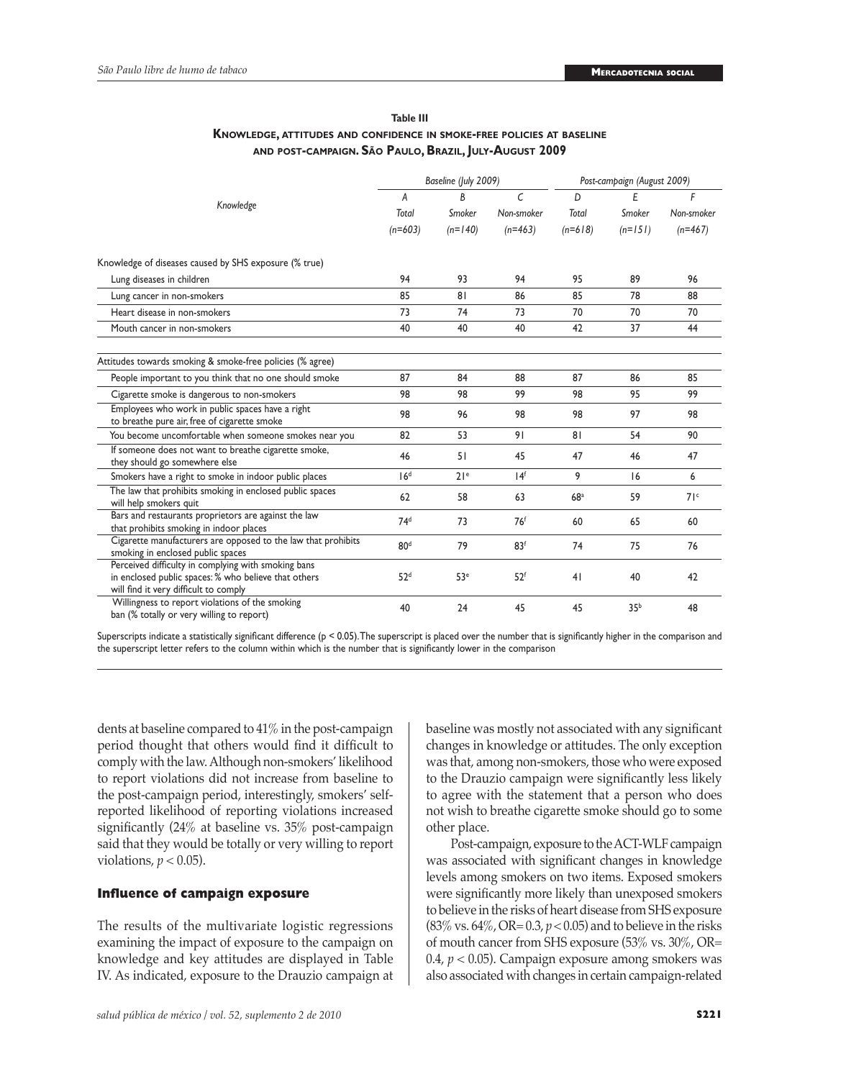| Table III                                                              |
|------------------------------------------------------------------------|
| KNOWLEDGE, ATTITUDES AND CONFIDENCE IN SMOKE-FREE POLICIES AT BASELINE |
| AND POST-CAMPAIGN. SÃO PAULO, BRAZIL, JULY-AUGUST 2009                 |

|                                                                                                                                                      |                 | Baseline (July 2009) |                 |                 | Post-campaign (August 2009) |                 |
|------------------------------------------------------------------------------------------------------------------------------------------------------|-----------------|----------------------|-----------------|-----------------|-----------------------------|-----------------|
|                                                                                                                                                      | A               | B                    | $\epsilon$      | D               | Ε                           | F               |
| Knowledge                                                                                                                                            | Total           | Smoker               | Non-smoker      | Total           | Smoker                      | Non-smoker      |
|                                                                                                                                                      | $(n=603)$       | $(n=140)$            | $(n=463)$       | $(n=618)$       | $(n=151)$                   | $(n=467)$       |
| Knowledge of diseases caused by SHS exposure (% true)                                                                                                |                 |                      |                 |                 |                             |                 |
| Lung diseases in children                                                                                                                            | 94              | 93                   | 94              | 95              | 89                          | 96              |
| Lung cancer in non-smokers                                                                                                                           | 85              | 81                   | 86              | 85              | 78                          | 88              |
| Heart disease in non-smokers                                                                                                                         | 73              | 74                   | 73              | 70              | 70                          | 70              |
| Mouth cancer in non-smokers                                                                                                                          | 40              | 40                   | 40              | 42              | 37                          | 44              |
| Attitudes towards smoking & smoke-free policies (% agree)                                                                                            |                 |                      |                 |                 |                             |                 |
| People important to you think that no one should smoke                                                                                               | 87              | 84                   | 88              | 87              | 86                          | 85              |
| Cigarette smoke is dangerous to non-smokers                                                                                                          | 98              | 98                   | 99              | 98              | 95                          | 99              |
| Employees who work in public spaces have a right<br>to breathe pure air, free of cigarette smoke                                                     | 98              | 96                   | 98              | 98              | 97                          | 98              |
| You become uncomfortable when someone smokes near you                                                                                                | 82              | 53                   | 91              | 81              | 54                          | 90              |
| If someone does not want to breathe cigarette smoke,<br>they should go somewhere else                                                                | 46              | 51                   | 45              | 47              | 46                          | 47              |
| Smokers have a right to smoke in indoor public places                                                                                                | 16 <sup>d</sup> | 21 <sup>e</sup>      | 14 <sup>f</sup> | 9               | 16                          | 6               |
| The law that prohibits smoking in enclosed public spaces<br>will help smokers quit                                                                   | 62              | 58                   | 63              | 68 <sup>a</sup> | 59                          | 71 <sup>c</sup> |
| Bars and restaurants proprietors are against the law<br>that prohibits smoking in indoor places                                                      | 74 <sup>d</sup> | 73                   | 76 <sup>f</sup> | 60              | 65                          | 60              |
| Cigarette manufacturers are opposed to the law that prohibits<br>smoking in enclosed public spaces                                                   | 80 <sup>d</sup> | 79                   | 83 <sup>f</sup> | 74              | 75                          | 76              |
| Perceived difficulty in complying with smoking bans<br>in enclosed public spaces: % who believe that others<br>will find it very difficult to comply | 52 <sup>d</sup> | 53 <sup>e</sup>      | 52 <sup>f</sup> | 41              | 40                          | 42              |
| Willingness to report violations of the smoking<br>ban (% totally or very willing to report)                                                         | 40              | 24                   | 45              | 45              | 35 <sup>b</sup>             | 48              |

Superscripts indicate a statistically significant difference ( $p < 0.05$ ). The superscript is placed over the number that is significantly higher in the comparison and the superscript letter refers to the column within which is the number that is significantly lower in the comparison

dents at baseline compared to 41% in the post-campaign period thought that others would find it difficult to comply with the law. Although non-smokers' likelihood to report violations did not increase from baseline to the post-campaign period, interestingly, smokers' selfreported likelihood of reporting violations increased significantly (24% at baseline vs. 35% post-campaign said that they would be totally or very willing to report violations,  $p < 0.05$ ).

#### **Influence of campaign exposure**

The results of the multivariate logistic regressions examining the impact of exposure to the campaign on knowledge and key attitudes are displayed in Table IV. As indicated, exposure to the Drauzio campaign at baseline was mostly not associated with any significant changes in knowledge or attitudes. The only exception was that, among non-smokers, those who were exposed to the Drauzio campaign were significantly less likely to agree with the statement that a person who does not wish to breathe cigarette smoke should go to some other place.

Post-campaign, exposure to the ACT-WLF campaign was associated with significant changes in knowledge levels among smokers on two items. Exposed smokers were significantly more likely than unexposed smokers to believe in the risks of heart disease from SHS exposure  $(83\% \text{ vs. } 64\%, \text{ OR} = 0.3, p < 0.05)$  and to believe in the risks of mouth cancer from SHS exposure (53% vs. 30%, OR= 0.4, *p* < 0.05). Campaign exposure among smokers was also associated with changes in certain campaign-related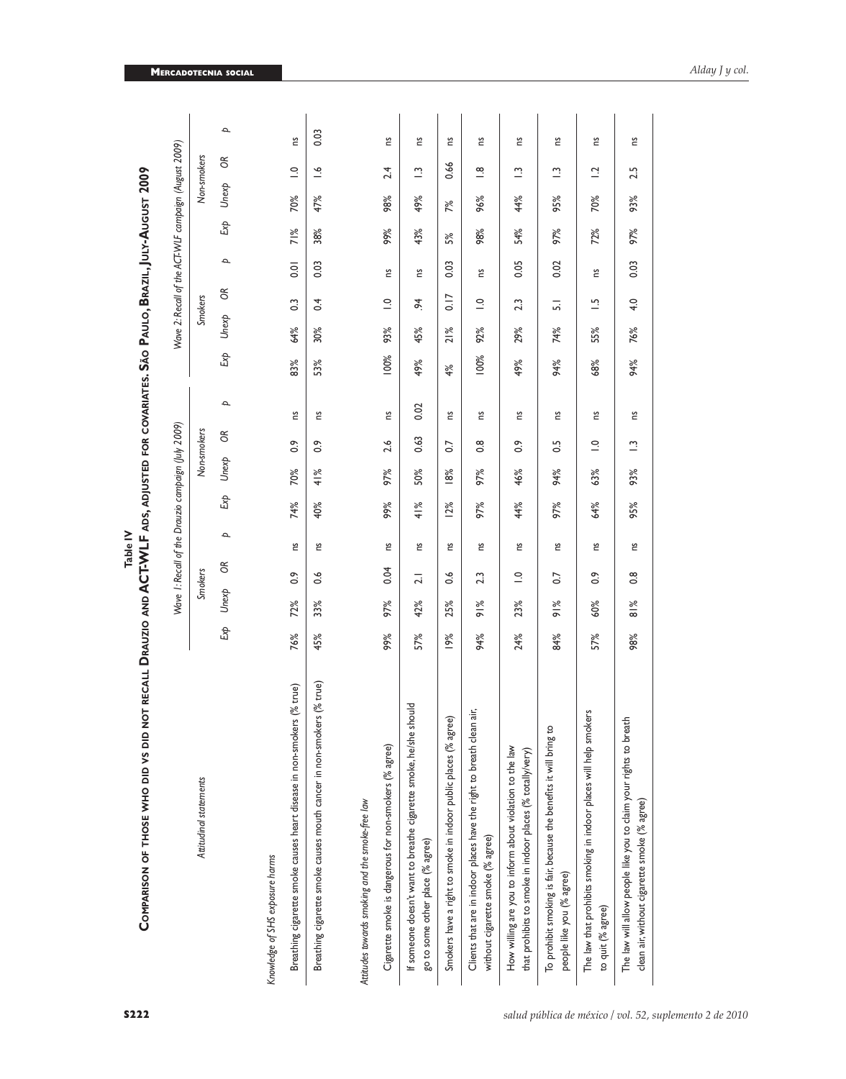| ot recall Drauzio and ACT-WLF ads, adjusted for covariates. São Paulo, Brazil, July-August 2009<br>COMPARISON OF THOSE WHO DID VS DID N |     |               |                          |                                                    |     |       |                |              |         |        |                      |              |     |                                                      |                        |              |
|-----------------------------------------------------------------------------------------------------------------------------------------|-----|---------------|--------------------------|----------------------------------------------------|-----|-------|----------------|--------------|---------|--------|----------------------|--------------|-----|------------------------------------------------------|------------------------|--------------|
|                                                                                                                                         |     |               |                          | Wave 1: Recall of the Drauzio campaign (July 2009) |     |       |                |              |         |        |                      |              |     | Wave 2: Recall of the ACT-WLF campaign (August 2009) |                        |              |
| Attitudinal statements                                                                                                                  |     |               | <b>Smokers</b>           |                                                    |     |       | Non-smokers    |              |         |        | <b>Smokers</b>       |              |     |                                                      | Non-smokers            |              |
|                                                                                                                                         | Ехр | Unexp         | $\delta$                 | $\mathbf{p}$                                       | Ехр | Unexp | $\infty$       | $\mathbf{p}$ | Exp     | Unexp  | g                    | $\mathbf{p}$ | Exp | Unexp                                                | g                      | $\mathbf{p}$ |
| Knowledge of SHS exposure harms                                                                                                         |     |               |                          |                                                    |     |       |                |              |         |        |                      |              |     |                                                      |                        |              |
| Breathing cigarette smoke causes heart disease in non-smokers (% true)                                                                  | 76% | 72%           | $\frac{6}{10}$           | ី.                                                 | 74% | 70%   | $\frac{6}{10}$ | ី.           | 83%     | 64%    | $\mathbb{S}$         | 0.01         | 71% | 70%                                                  | $\supseteq$            | 2u           |
| Breathing cigarette smoke causes mouth cancer in non-smokers (% true)                                                                   | 45% | 33%           | $\frac{6}{10}$           | Σu                                                 | 40% | 41%   | $\frac{6}{2}$  | 2u           | 53%     | 30%    | 0.4                  | 0.03         | 38% | 47%                                                  | $\tilde{=}$            | 0.03         |
| Attitudes towards smoking and the smoke-free law                                                                                        |     |               |                          |                                                    |     |       |                |              |         |        |                      |              |     |                                                      |                        |              |
| Cigarette smoke is dangerous for non-smokers (% agree)                                                                                  | 99% | 97%           | 0.04                     | Ξ                                                  | 99% | 97%   | 2.6            | Ξ            | $100\%$ | 93%    | $\supseteq$          | Ξ            | 99% | 98%                                                  | 2.4                    | Ξ            |
| bluor<br>If someone doesn't want to breathe cigarette smoke, he/she sh<br>go to some other place (% agree)                              | 57% | 42%           | $\overline{21}$          | 2u                                                 | 41% | 50%   | 0.63           | 0.02         | 49%     | 45%    | $\ddot{\mathcal{L}}$ | Σu           | 43% | 49%                                                  | $\tilde{c}$            | 2u           |
| Smokers have a right to smoke in indoor public places (% agree)                                                                         | 19% | 25%           | ڢ<br>ö                   | Ξ                                                  | 12% | 8%    | $\overline{0}$ | Ξ            | 4%      | $21\%$ | 0.17                 | 0.03         | 5%  | 7%                                                   | 0.66                   | Ξ            |
| ÷ί,<br>Clients that are in indoor places have the right to breath clean<br>without cigarette smoke (% agree)                            | 94% | $91\%$        | 2.3                      | Σu                                                 | 97% | 97%   | $\frac{8}{2}$  | Σu           | 100%    | 92%    | $\supseteq$          | Σu           | 98% | 96%                                                  | $\stackrel{\infty}{=}$ | 2u           |
| How willing are you to inform about violation to the law<br>that prohibits to smoke in indoor places (% totally/very)                   | 24% | 23%           | $\stackrel{\circ}{\neg}$ | 2u                                                 | 44% | 46%   | $\frac{6}{10}$ | 2u           | 49%     | 29%    | 23                   | 0.05         | 54% | 44%                                                  | $\tilde{\Xi}$          | 2u           |
| To prohibit smoking is fair, because the benefits it will bring to<br>people like you (% agree)                                         | 84% | $91\%$        | $\overline{0}$           | č                                                  | 97% | 94%   | 0.5            | 2u           | 94%     | 74%    | $\overline{5}$       | 0.02         | 97% | 95%                                                  | $\tilde{\Xi}$          | 2u           |
| The law that prohibits smoking in indoor places will help smokers<br>to quit (% agree)                                                  | 57% | 60%           | $\frac{6}{10}$           | 2u                                                 | 64% | 63%   | $\supseteq$    | 2u           | 68%     | 55%    | $\bar{a}$            | 2u           | 72% | 70%                                                  | $\overline{a}$         | 2u           |
| The law will allow people like you to claim your rights to breath<br>clean air, without cigarette smoke (% agree)                       | 98% | $\frac{8}{8}$ | $\frac{8}{10}$           | Σu                                                 | 95% | 93%   | $\tilde{\Xi}$  | 2u           | 94%     | 76%    | 4.0                  | 0.03         | 97% | 93%                                                  | 2.5                    | Ξ            |

**Table IV**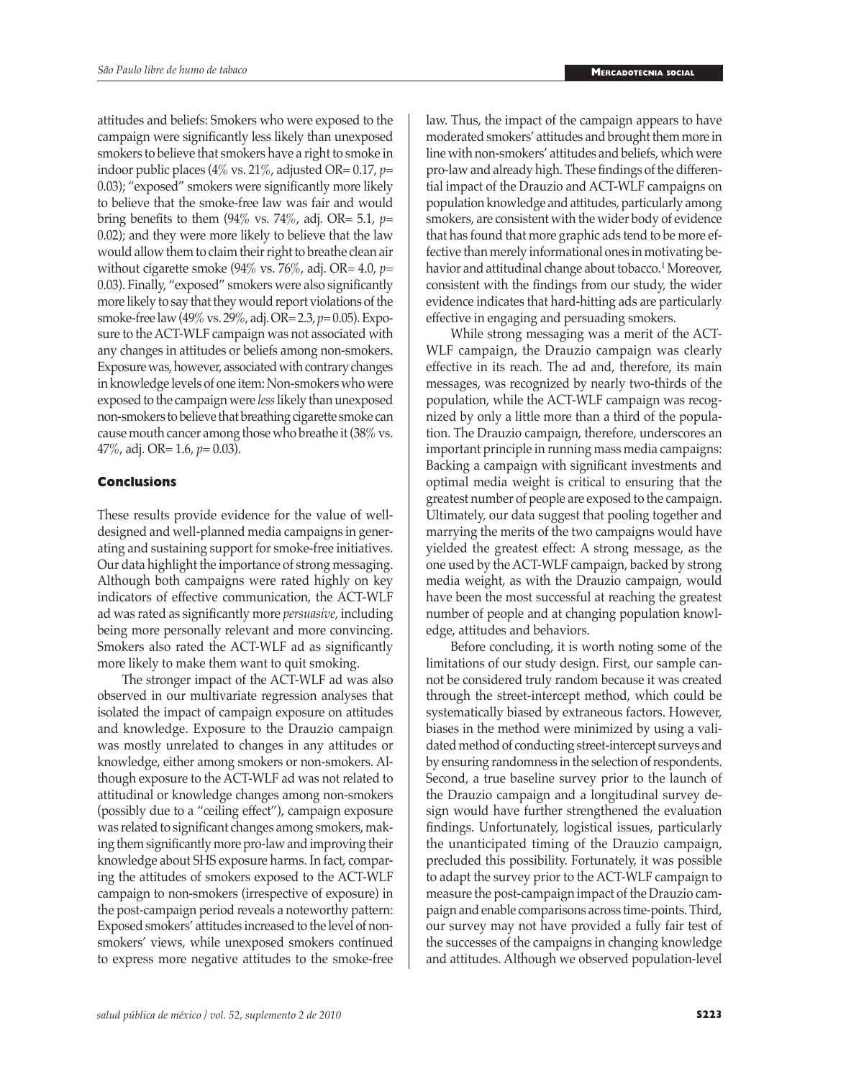attitudes and beliefs: Smokers who were exposed to the campaign were significantly less likely than unexposed smokers to believe that smokers have a right to smoke in indoor public places (4% vs. 21%, adjusted OR= 0.17, *p*= 0.03); "exposed" smokers were significantly more likely to believe that the smoke-free law was fair and would bring benefits to them (94% vs. 74%, adj. OR= 5.1, *p*= 0.02); and they were more likely to believe that the law would allow them to claim their right to breathe clean air without cigarette smoke (94% vs. 76%, adj. OR= 4.0, *p*= 0.03). Finally, "exposed" smokers were also significantly more likely to say that they would report violations of the smoke-free law (49% vs. 29%, adj. OR= 2.3, *p*= 0.05). Exposure to the ACT-WLF campaign was not associated with any changes in attitudes or beliefs among non-smokers. Exposure was, however, associated with contrary changes in knowledge levels of one item: Non-smokers who were exposed to the campaign were *less* likely than unexposed non-smokers to believe that breathing cigarette smoke can cause mouth cancer among those who breathe it (38% vs. 47%, adj. OR= 1.6, *p*= 0.03).

#### **Conclusions**

These results provide evidence for the value of welldesigned and well-planned media campaigns in generating and sustaining support for smoke-free initiatives. Our data highlight the importance of strong messaging. Although both campaigns were rated highly on key indicators of effective communication, the ACT-WLF ad was rated as significantly more *persuasive,* including being more personally relevant and more convincing. Smokers also rated the ACT-WLF ad as significantly more likely to make them want to quit smoking.

The stronger impact of the ACT-WLF ad was also observed in our multivariate regression analyses that isolated the impact of campaign exposure on attitudes and knowledge. Exposure to the Drauzio campaign was mostly unrelated to changes in any attitudes or knowledge, either among smokers or non-smokers. Although exposure to the ACT-WLF ad was not related to attitudinal or knowledge changes among non-smokers (possibly due to a "ceiling effect"), campaign exposure was related to significant changes among smokers, making them significantly more pro-law and improving their knowledge about SHS exposure harms. In fact, comparing the attitudes of smokers exposed to the ACT-WLF campaign to non-smokers (irrespective of exposure) in the post-campaign period reveals a noteworthy pattern: Exposed smokers' attitudes increased to the level of nonsmokers' views, while unexposed smokers continued to express more negative attitudes to the smoke-free law. Thus, the impact of the campaign appears to have moderated smokers' attitudes and brought them more in line with non-smokers' attitudes and beliefs, which were pro-law and already high. These findings of the differential impact of the Drauzio and ACT-WLF campaigns on population knowledge and attitudes, particularly among smokers, are consistent with the wider body of evidence that has found that more graphic ads tend to be more effective than merely informational ones in motivating behavior and attitudinal change about tobacco.<sup>1</sup> Moreover, consistent with the findings from our study, the wider evidence indicates that hard-hitting ads are particularly effective in engaging and persuading smokers.

While strong messaging was a merit of the ACT-WLF campaign, the Drauzio campaign was clearly effective in its reach. The ad and, therefore, its main messages, was recognized by nearly two-thirds of the population, while the ACT-WLF campaign was recognized by only a little more than a third of the population. The Drauzio campaign, therefore, underscores an important principle in running mass media campaigns: Backing a campaign with significant investments and optimal media weight is critical to ensuring that the greatest number of people are exposed to the campaign. Ultimately, our data suggest that pooling together and marrying the merits of the two campaigns would have yielded the greatest effect: A strong message, as the one used by the ACT-WLF campaign, backed by strong media weight, as with the Drauzio campaign, would have been the most successful at reaching the greatest number of people and at changing population knowledge, attitudes and behaviors.

Before concluding, it is worth noting some of the limitations of our study design. First, our sample cannot be considered truly random because it was created through the street-intercept method, which could be systematically biased by extraneous factors. However, biases in the method were minimized by using a validated method of conducting street-intercept surveys and by ensuring randomness in the selection of respondents. Second, a true baseline survey prior to the launch of the Drauzio campaign and a longitudinal survey design would have further strengthened the evaluation findings. Unfortunately, logistical issues, particularly the unanticipated timing of the Drauzio campaign, precluded this possibility. Fortunately, it was possible to adapt the survey prior to the ACT-WLF campaign to measure the post-campaign impact of the Drauzio campaign and enable comparisons across time-points. Third, our survey may not have provided a fully fair test of the successes of the campaigns in changing knowledge and attitudes. Although we observed population-level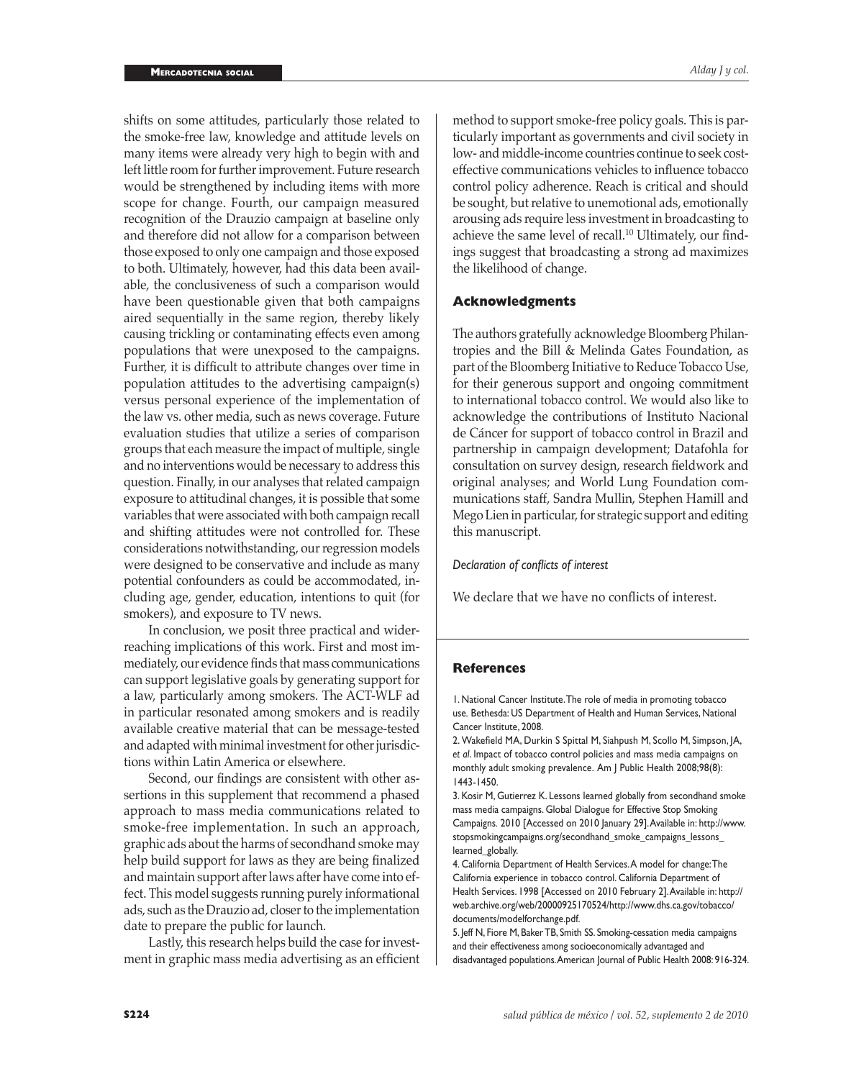shifts on some attitudes, particularly those related to the smoke-free law, knowledge and attitude levels on many items were already very high to begin with and left little room for further improvement. Future research would be strengthened by including items with more scope for change. Fourth, our campaign measured recognition of the Drauzio campaign at baseline only and therefore did not allow for a comparison between those exposed to only one campaign and those exposed to both. Ultimately, however, had this data been available, the conclusiveness of such a comparison would have been questionable given that both campaigns aired sequentially in the same region, thereby likely causing trickling or contaminating effects even among populations that were unexposed to the campaigns. Further, it is difficult to attribute changes over time in population attitudes to the advertising campaign(s) versus personal experience of the implementation of the law vs. other media, such as news coverage. Future evaluation studies that utilize a series of comparison groups that each measure the impact of multiple, single and no interventions would be necessary to address this question. Finally, in our analyses that related campaign exposure to attitudinal changes, it is possible that some variables that were associated with both campaign recall and shifting attitudes were not controlled for. These considerations notwithstanding, our regression models were designed to be conservative and include as many potential confounders as could be accommodated, including age, gender, education, intentions to quit (for smokers), and exposure to TV news.

In conclusion, we posit three practical and widerreaching implications of this work. First and most immediately, our evidence finds that mass communications can support legislative goals by generating support for a law, particularly among smokers. The ACT-WLF ad in particular resonated among smokers and is readily available creative material that can be message-tested and adapted with minimal investment for other jurisdictions within Latin America or elsewhere.

Second, our findings are consistent with other assertions in this supplement that recommend a phased approach to mass media communications related to smoke-free implementation. In such an approach, graphic ads about the harms of secondhand smoke may help build support for laws as they are being finalized and maintain support after laws after have come into effect. This model suggests running purely informational ads, such as the Drauzio ad, closer to the implementation date to prepare the public for launch.

Lastly, this research helps build the case for investment in graphic mass media advertising as an efficient

method to support smoke-free policy goals. This is particularly important as governments and civil society in low- and middle-income countries continue to seek costeffective communications vehicles to influence tobacco control policy adherence. Reach is critical and should be sought, but relative to unemotional ads, emotionally arousing ads require less investment in broadcasting to achieve the same level of recall.<sup>10</sup> Ultimately, our findings suggest that broadcasting a strong ad maximizes the likelihood of change.

#### **Acknowledgments**

The authors gratefully acknowledge Bloomberg Philantropies and the Bill & Melinda Gates Foundation, as part of the Bloomberg Initiative to Reduce Tobacco Use, for their generous support and ongoing commitment to international tobacco control. We would also like to acknowledge the contributions of Instituto Nacional de Cáncer for support of tobacco control in Brazil and partnership in campaign development; Datafohla for consultation on survey design, research fieldwork and original analyses; and World Lung Foundation communications staff, Sandra Mullin, Stephen Hamill and Mego Lien in particular, for strategic support and editing this manuscript.

#### *Declaration of conflicts of interest*

We declare that we have no conflicts of interest.

#### **References**

1. National Cancer Institute. The role of media in promoting tobacco use*.* Bethesda: US Department of Health and Human Services, National Cancer Institute, 2008.

2. Wakefield MA, Durkin S Spittal M, Siahpush M, Scollo M, Simpson, JA, *et al*. Impact of tobacco control policies and mass media campaigns on monthly adult smoking prevalence. Am J Public Health 2008;98(8): 1443-1450.

3. Kosir M, Gutierrez K. Lessons learned globally from secondhand smoke mass media campaigns. Global Dialogue for Effective Stop Smoking Campaigns*.* 2010 [Accessed on 2010 January 29]. Available in: http://www. stopsmokingcampaigns.org/secondhand\_smoke\_campaigns\_lessons\_ learned\_globally.

4. California Department of Health Services. A model for change: The California experience in tobacco control. California Department of Health Services. 1998 [Accessed on 2010 February 2]. Available in: http:// web.archive.org/web/20000925170524/http://www.dhs.ca.gov/tobacco/ documents/modelforchange.pdf.

5. Jeff N, Fiore M, Baker TB, Smith SS. Smoking-cessation media campaigns and their effectiveness among socioeconomically advantaged and disadvantaged populations. American Journal of Public Health 2008: 916-324.